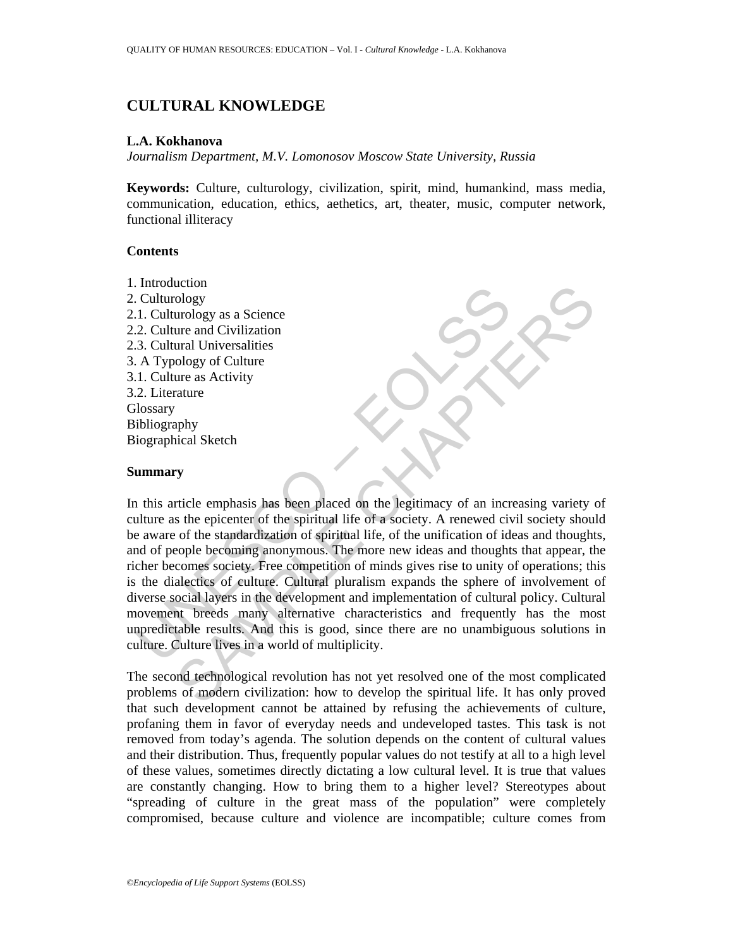# **CULTURAL KNOWLEDGE**

#### **L.A. Kokhanova**

*Journalism Department, M.V. Lomonosov Moscow State University, Russia* 

**Keywords:** Culture, culturology, civilization, spirit, mind, humankind, mass media, communication, education, ethics, aethetics, art, theater, music, computer network, functional illiteracy

### **Contents**

1. Introduction 2. Culturology 2.1. Culturology as a Science 2.2. Culture and Civilization 2.3. Cultural Universalities 3. A Typology of Culture 3.1. Culture as Activity 3.2. Literature **Glossary** Bibliography Biographical Sketch

#### **Summary**

Functional<br>
Culturology<br>
1. Culturology<br>
2. Culturology<br>
2. Cultural Universalities<br>
2. Cultural Universalities<br>
1. Culture and Civilization<br>
1. Culture as Activity<br>
2. Literature<br>
1. Culture as Activity<br>
2. Literature<br>
2. Color<br>
und Civilization<br>
ura and Civilization<br>
ural Universalities<br>
ology<br>
ural Universalities<br>
ology of Culture<br>
ure as Activity<br>
ticle emphasis has been placed on the legitimacy of an increasing variety<br>
tricle emphasis In this article emphasis has been placed on the legitimacy of an increasing variety of culture as the epicenter of the spiritual life of a society. A renewed civil society should be aware of the standardization of spiritual life, of the unification of ideas and thoughts, and of people becoming anonymous. The more new ideas and thoughts that appear, the richer becomes society. Free competition of minds gives rise to unity of operations; this is the dialectics of culture. Cultural pluralism expands the sphere of involvement of diverse social layers in the development and implementation of cultural policy. Cultural movement breeds many alternative characteristics and frequently has the most unpredictable results. And this is good, since there are no unambiguous solutions in culture. Culture lives in a world of multiplicity.

The second technological revolution has not yet resolved one of the most complicated problems of modern civilization: how to develop the spiritual life. It has only proved that such development cannot be attained by refusing the achievements of culture, profaning them in favor of everyday needs and undeveloped tastes. This task is not removed from today's agenda. The solution depends on the content of cultural values and their distribution. Thus, frequently popular values do not testify at all to a high level of these values, sometimes directly dictating a low cultural level. It is true that values are constantly changing. How to bring them to a higher level? Stereotypes about "spreading of culture in the great mass of the population" were completely compromised, because culture and violence are incompatible; culture comes from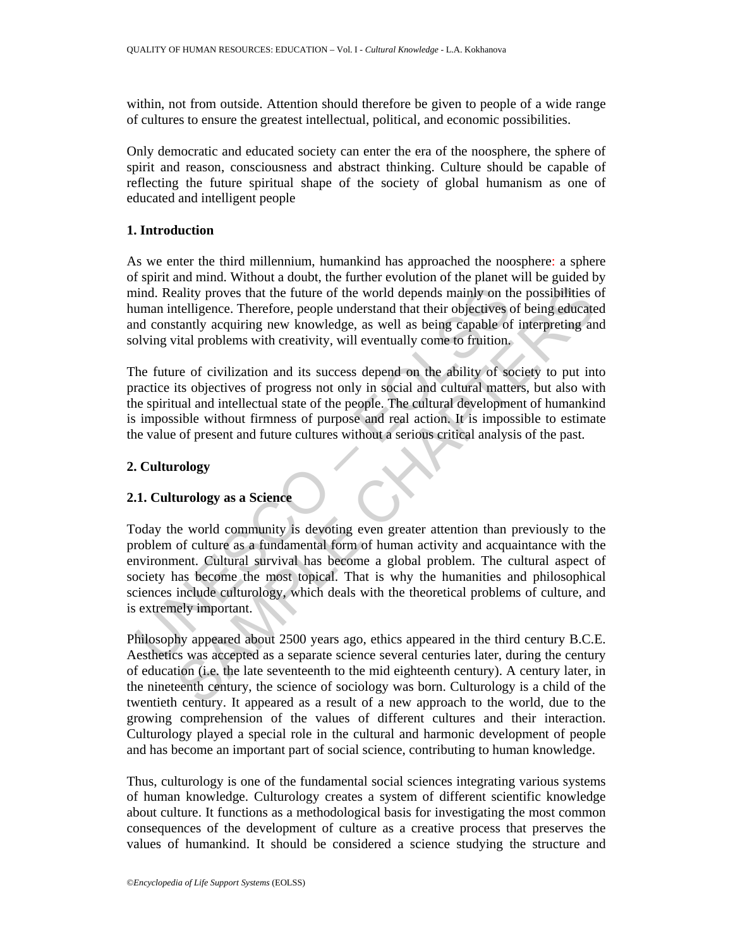within, not from outside. Attention should therefore be given to people of a wide range of cultures to ensure the greatest intellectual, political, and economic possibilities.

Only democratic and educated society can enter the era of the noosphere, the sphere of spirit and reason, consciousness and abstract thinking. Culture should be capable of reflecting the future spiritual shape of the society of global humanism as one of educated and intelligent people

## **1. Introduction**

As we enter the third millennium, humankind has approached the noosphere: a sphere of spirit and mind. Without a doubt, the further evolution of the planet will be guided by mind. Reality proves that the future of the world depends mainly on the possibilities of human intelligence. Therefore, people understand that their objectives of being educated and constantly acquiring new knowledge, as well as being capable of interpreting and solving vital problems with creativity, will eventually come to fruition.

The future of civilization and its success depend on the ability of society to put into practice its objectives of progress not only in social and cultural matters, but also with the spiritual and intellectual state of the people. The cultural development of humankind is impossible without firmness of purpose and real action. It is impossible to estimate the value of present and future cultures without a serious critical analysis of the past.

## **2. Culturology**

## **2.1. Culturology as a Science**

ind. Reality proves that the future of the world depends mainly on the morn intelligence. Therefore, people understand that their objectives of constantly acquiring new knowledge, as well as being capable of olving vital p ality proves that the future of the world depends mainly on the possibilities coefficience. Therefore, people understand that their objectives of being educated<br>tatal problems with creativity, will eventually come to findi Today the world community is devoting even greater attention than previously to the problem of culture as a fundamental form of human activity and acquaintance with the environment. Cultural survival has become a global problem. The cultural aspect of society has become the most topical. That is why the humanities and philosophical sciences include culturology, which deals with the theoretical problems of culture, and is extremely important.

Philosophy appeared about 2500 years ago, ethics appeared in the third century B.C.E. Aesthetics was accepted as a separate science several centuries later, during the century of education (i.e. the late seventeenth to the mid eighteenth century). A century later, in the nineteenth century, the science of sociology was born. Culturology is a child of the twentieth century. It appeared as a result of a new approach to the world, due to the growing comprehension of the values of different cultures and their interaction. Culturology played a special role in the cultural and harmonic development of people and has become an important part of social science, contributing to human knowledge.

Thus, culturology is one of the fundamental social sciences integrating various systems of human knowledge. Culturology creates a system of different scientific knowledge about culture. It functions as a methodological basis for investigating the most common consequences of the development of culture as a creative process that preserves the values of humankind. It should be considered a science studying the structure and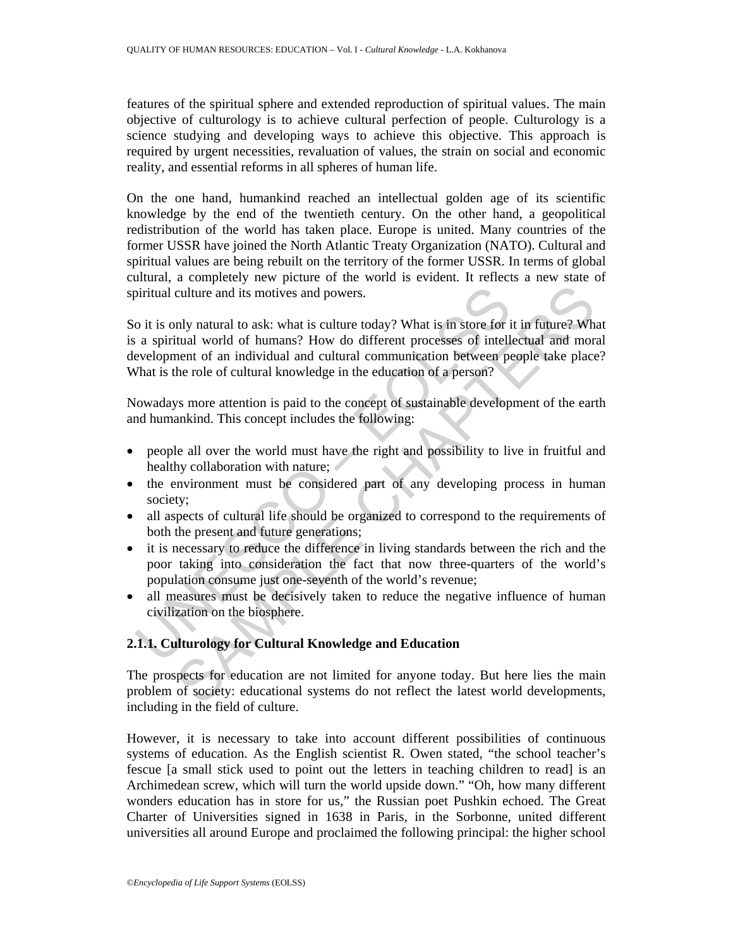features of the spiritual sphere and extended reproduction of spiritual values. The main objective of culturology is to achieve cultural perfection of people. Culturology is a science studying and developing ways to achieve this objective. This approach is required by urgent necessities, revaluation of values, the strain on social and economic reality, and essential reforms in all spheres of human life.

On the one hand, humankind reached an intellectual golden age of its scientific knowledge by the end of the twentieth century. On the other hand, a geopolitical redistribution of the world has taken place. Europe is united. Many countries of the former USSR have joined the North Atlantic Treaty Organization (NATO). Cultural and spiritual values are being rebuilt on the territory of the former USSR. In terms of global cultural, a completely new picture of the world is evident. It reflects a new state of spiritual culture and its motives and powers.

bettrained and its motives and powers.<br>
So it is only natural to ask: what is culture today? What is in store for i<br>
a spiritual world of humans? How do different processes of intell<br>
evelopment of an individual and cultur culture and its motives and powers.<br>
mly natural to ask: what is culture today? What is in store for it in future? Wha<br>
titual world of humans? How do different processes of intellectual and morient<br>
of an individual and c So it is only natural to ask: what is culture today? What is in store for it in future? What is a spiritual world of humans? How do different processes of intellectual and moral development of an individual and cultural communication between people take place? What is the role of cultural knowledge in the education of a person?

Nowadays more attention is paid to the concept of sustainable development of the earth and humankind. This concept includes the following:

- people all over the world must have the right and possibility to live in fruitful and healthy collaboration with nature;
- the environment must be considered part of any developing process in human society;
- all aspects of cultural life should be organized to correspond to the requirements of both the present and future generations;
- it is necessary to reduce the difference in living standards between the rich and the poor taking into consideration the fact that now three-quarters of the world's population consume just one-seventh of the world's revenue;
- all measures must be decisively taken to reduce the negative influence of human civilization on the biosphere.

## **2.1.1. Culturology for Cultural Knowledge and Education**

The prospects for education are not limited for anyone today. But here lies the main problem of society: educational systems do not reflect the latest world developments, including in the field of culture.

However, it is necessary to take into account different possibilities of continuous systems of education. As the English scientist R. Owen stated, "the school teacher's fescue [a small stick used to point out the letters in teaching children to read] is an Archimedean screw, which will turn the world upside down." "Oh, how many different wonders education has in store for us," the Russian poet Pushkin echoed. The Great Charter of Universities signed in 1638 in Paris, in the Sorbonne, united different universities all around Europe and proclaimed the following principal: the higher school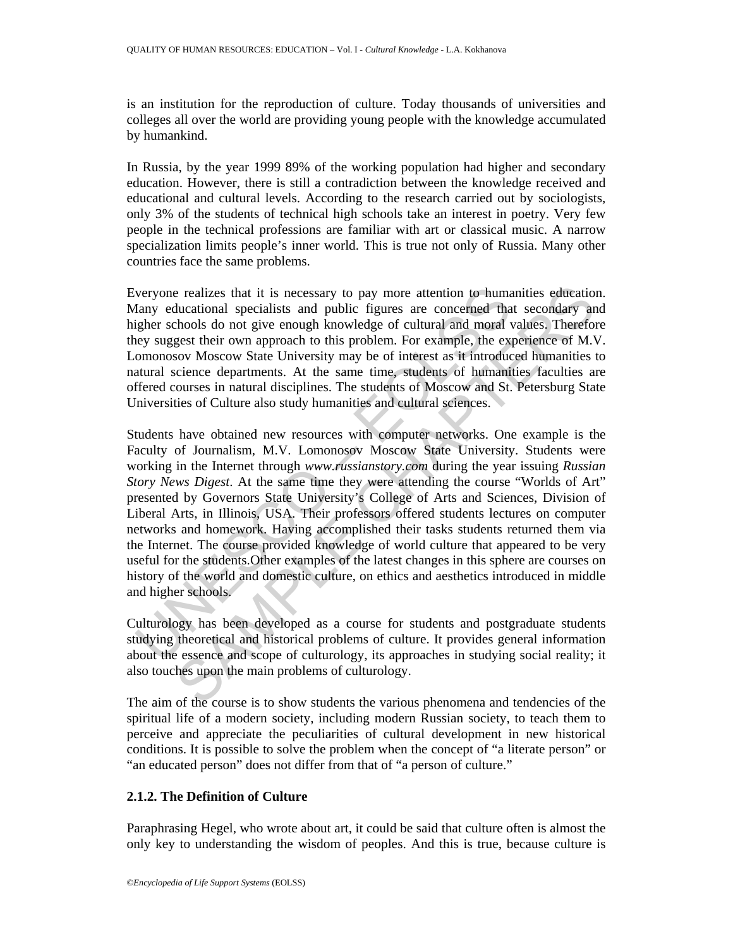is an institution for the reproduction of culture. Today thousands of universities and colleges all over the world are providing young people with the knowledge accumulated by humankind.

In Russia, by the year 1999 89% of the working population had higher and secondary education. However, there is still a contradiction between the knowledge received and educational and cultural levels. According to the research carried out by sociologists, only 3% of the students of technical high schools take an interest in poetry. Very few people in the technical professions are familiar with art or classical music. A narrow specialization limits people's inner world. This is true not only of Russia. Many other countries face the same problems.

Everyone realizes that it is necessary to pay more attention to humanities education. Many educational specialists and public figures are concerned that secondary and higher schools do not give enough knowledge of cultural and moral values. Therefore they suggest their own approach to this problem. For example, the experience of M.V. Lomonosov Moscow State University may be of interest as it introduced humanities to natural science departments. At the same time, students of humanities faculties are offered courses in natural disciplines. The students of Moscow and St. Petersburg State Universities of Culture also study humanities and cultural sciences.

veryone realizes that it is necessary to pay more attention to huma<br>lany educational specialists and public figures are concerned tha<br>gigher schools do not give enough knowledge of cultural and moral<br>eleg suggest their own e realizes that it is necessary to pay more attention to humanities education<br>tucational specialists and public figures are concerned that secondary an<br>chools do not give enough knowledge of cultural and moral values. Ther Students have obtained new resources with computer networks. One example is the Faculty of Journalism, M.V. Lomonosov Moscow State University. Students were working in the Internet through *www.russianstory.com* during the year issuing *Russian Story News Digest*. At the same time they were attending the course "Worlds of Art" presented by Governors State University's College of Arts and Sciences, Division of Liberal Arts, in Illinois, USA. Their professors offered students lectures on computer networks and homework. Having accomplished their tasks students returned them via the Internet. The course provided knowledge of world culture that appeared to be very useful for the students.Other examples of the latest changes in this sphere are courses on history of the world and domestic culture, on ethics and aesthetics introduced in middle and higher schools.

Culturology has been developed as a course for students and postgraduate students studying theoretical and historical problems of culture. It provides general information about the essence and scope of culturology, its approaches in studying social reality; it also touches upon the main problems of culturology.

The aim of the course is to show students the various phenomena and tendencies of the spiritual life of a modern society, including modern Russian society, to teach them to perceive and appreciate the peculiarities of cultural development in new historical conditions. It is possible to solve the problem when the concept of "a literate person" or "an educated person" does not differ from that of "a person of culture."

## **2.1.2. The Definition of Culture**

Paraphrasing Hegel, who wrote about art, it could be said that culture often is almost the only key to understanding the wisdom of peoples. And this is true, because culture is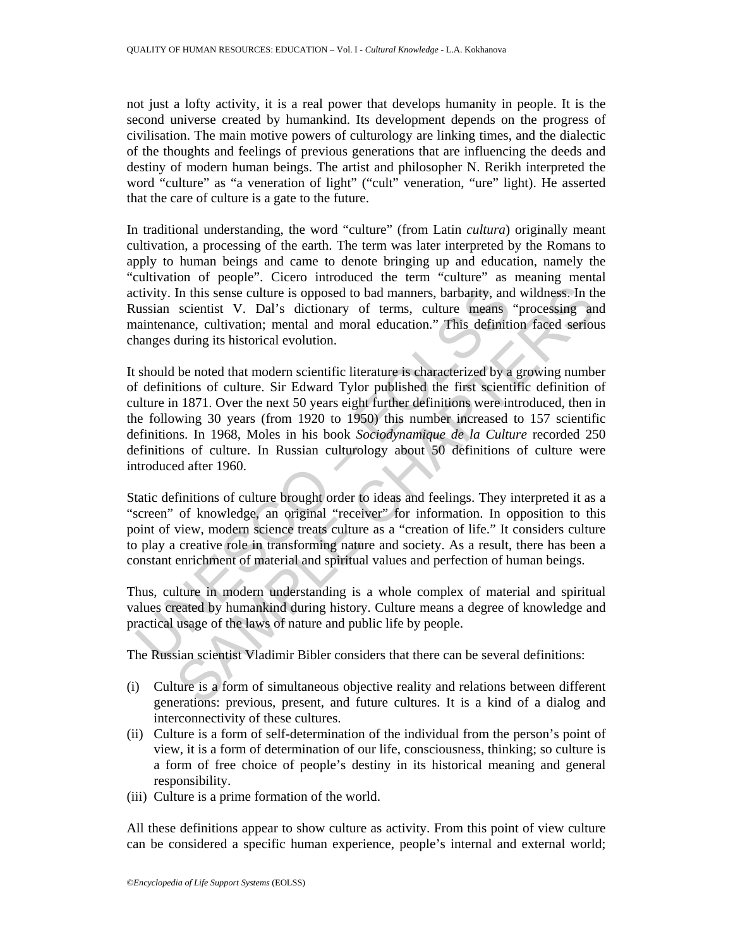not just a lofty activity, it is a real power that develops humanity in people. It is the second universe created by humankind. Its development depends on the progress of civilisation. The main motive powers of culturology are linking times, and the dialectic of the thoughts and feelings of previous generations that are influencing the deeds and destiny of modern human beings. The artist and philosopher N. Rerikh interpreted the word "culture" as "a veneration of light" ("cult" veneration, "ure" light). He asserted that the care of culture is a gate to the future.

In traditional understanding, the word "culture" (from Latin *cultura*) originally meant cultivation, a processing of the earth. The term was later interpreted by the Romans to apply to human beings and came to denote bringing up and education, namely the "cultivation of people". Cicero introduced the term "culture" as meaning mental activity. In this sense culture is opposed to bad manners, barbarity, and wildness. In the Russian scientist V. Dal's dictionary of terms, culture means "processing and maintenance, cultivation; mental and moral education." This definition faced serious changes during its historical evolution.

civity. In this sense culture is opposed to bad manners, barbarity, an ussian scientist V. Dal's dictionary of terms, culture means aintenance, cultivation; mental and moral education." This definitial anges during its his In this sense culture is opposed to bad manners, barbarity, and wildness. In th<br>scientist V. Dal's dictionary of terms, culture means "processing an<br>mec. culturation; mental and moral education." This definition faced ser It should be noted that modern scientific literature is characterized by a growing number of definitions of culture. Sir Edward Tylor published the first scientific definition of culture in 1871. Over the next 50 years eight further definitions were introduced, then in the following 30 years (from 1920 to 1950) this number increased to 157 scientific definitions. In 1968, Moles in his book *Sociodynamique de la Culture* recorded 250 definitions of culture. In Russian culturology about 50 definitions of culture were introduced after 1960.

Static definitions of culture brought order to ideas and feelings. They interpreted it as a "screen" of knowledge, an original "receiver" for information. In opposition to this point of view, modern science treats culture as a "creation of life." It considers culture to play a creative role in transforming nature and society. As a result, there has been a constant enrichment of material and spiritual values and perfection of human beings.

Thus, culture in modern understanding is a whole complex of material and spiritual values created by humankind during history. Culture means a degree of knowledge and practical usage of the laws of nature and public life by people.

The Russian scientist Vladimir Bibler considers that there can be several definitions:

- (i) Culture is a form of simultaneous objective reality and relations between different generations: previous, present, and future cultures. It is a kind of a dialog and interconnectivity of these cultures.
- (ii) Culture is a form of self-determination of the individual from the person's point of view, it is a form of determination of our life, consciousness, thinking; so culture is a form of free choice of people's destiny in its historical meaning and general responsibility.
- (iii) Culture is a prime formation of the world.

All these definitions appear to show culture as activity. From this point of view culture can be considered a specific human experience, people's internal and external world;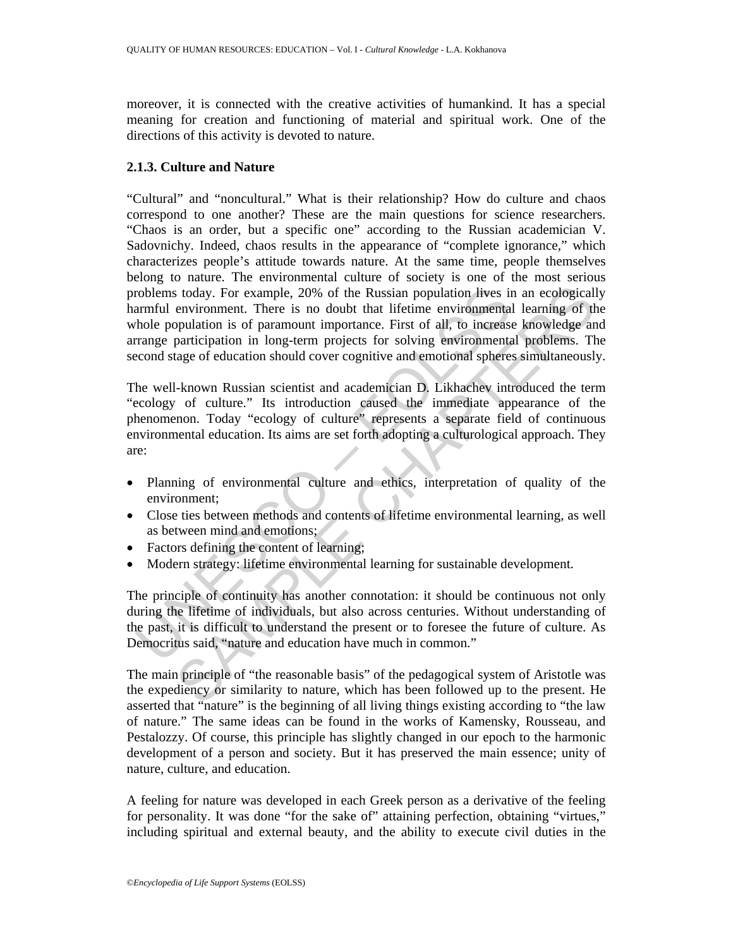moreover, it is connected with the creative activities of humankind. It has a special meaning for creation and functioning of material and spiritual work. One of the directions of this activity is devoted to nature.

### **2.1.3. Culture and Nature**

roblems today. For example, 20% of the Russian population lives in<br>armful environment. There is no doubt that lifetime environmental<br>hole population is of paramount importance. First of all, to increase<br>range participation stoday. For example, 20% of the Russian population lives in an ecological<br>lenvironment. There is no doubt that lifetime environmental learning of the<br>publation is of paramount importance. First of all, to increase knowledg "Cultural" and "noncultural." What is their relationship? How do culture and chaos correspond to one another? These are the main questions for science researchers. "Chaos is an order, but a specific one" according to the Russian academician V. Sadovnichy. Indeed, chaos results in the appearance of "complete ignorance," which characterizes people's attitude towards nature. At the same time, people themselves belong to nature. The environmental culture of society is one of the most serious problems today. For example, 20% of the Russian population lives in an ecologically harmful environment. There is no doubt that lifetime environmental learning of the whole population is of paramount importance. First of all, to increase knowledge and arrange participation in long-term projects for solving environmental problems. The second stage of education should cover cognitive and emotional spheres simultaneously.

The well-known Russian scientist and academician D. Likhachev introduced the term "ecology of culture." Its introduction caused the immediate appearance of the phenomenon. Today "ecology of culture" represents a separate field of continuous environmental education. Its aims are set forth adopting a culturological approach. They are:

- Planning of environmental culture and ethics, interpretation of quality of the environment;
- Close ties between methods and contents of lifetime environmental learning, as well as between mind and emotions;
- Factors defining the content of learning;
- Modern strategy: lifetime environmental learning for sustainable development.

The principle of continuity has another connotation: it should be continuous not only during the lifetime of individuals, but also across centuries. Without understanding of the past, it is difficult to understand the present or to foresee the future of culture. As Democritus said, "nature and education have much in common."

The main principle of "the reasonable basis" of the pedagogical system of Aristotle was the expediency or similarity to nature, which has been followed up to the present. He asserted that "nature" is the beginning of all living things existing according to "the law of nature." The same ideas can be found in the works of Kamensky, Rousseau, and Pestalozzy. Of course, this principle has slightly changed in our epoch to the harmonic development of a person and society. But it has preserved the main essence; unity of nature, culture, and education.

A feeling for nature was developed in each Greek person as a derivative of the feeling for personality. It was done "for the sake of" attaining perfection, obtaining "virtues," including spiritual and external beauty, and the ability to execute civil duties in the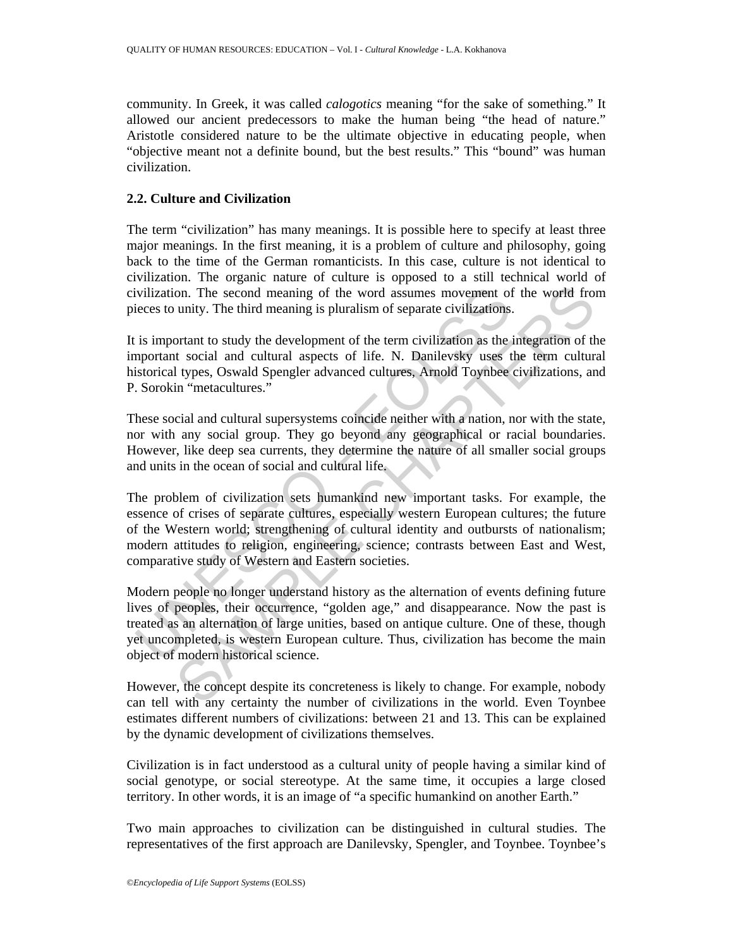community. In Greek, it was called *calogotics* meaning "for the sake of something." It allowed our ancient predecessors to make the human being "the head of nature." Aristotle considered nature to be the ultimate objective in educating people, when "objective meant not a definite bound, but the best results." This "bound" was human civilization.

## **2.2. Culture and Civilization**

The term "civilization" has many meanings. It is possible here to specify at least three major meanings. In the first meaning, it is a problem of culture and philosophy, going back to the time of the German romanticists. In this case, culture is not identical to civilization. The organic nature of culture is opposed to a still technical world of civilization. The second meaning of the word assumes movement of the world from pieces to unity. The third meaning is pluralism of separate civilizations.

It is important to study the development of the term civilization as the integration of the important social and cultural aspects of life. N. Danilevsky uses the term cultural historical types, Oswald Spengler advanced cultures, Arnold Toynbee civilizations, and P. Sorokin "metacultures."

These social and cultural supersystems coincide neither with a nation, nor with the state, nor with any social group. They go beyond any geographical or racial boundaries. However, like deep sea currents, they determine the nature of all smaller social groups and units in the ocean of social and cultural life.

The problem of civilization sets humankind new important tasks. For example, the essence of crises of separate cultures, especially western European cultures; the future of the Western world; strengthening of cultural identity and outbursts of nationalism; modern attitudes to religion, engineering, science; contrasts between East and West, comparative study of Western and Eastern societies.

ivilization. The second meaning of the word assumes movement of<br>icces to unity. The third meaning is pluralism of separate civilizations.<br>is important to study the development of the term civilization as the<br>apportant soci on. The second meaning of the word assumes movement of the world from unity. The third meaning is pluralism of separate civilizations.<br>
Solution to study the development of the term civilization as the integration of the s Modern people no longer understand history as the alternation of events defining future lives of peoples, their occurrence, "golden age," and disappearance. Now the past is treated as an alternation of large unities, based on antique culture. One of these, though yet uncompleted, is western European culture. Thus, civilization has become the main object of modern historical science.

However, the concept despite its concreteness is likely to change. For example, nobody can tell with any certainty the number of civilizations in the world. Even Toynbee estimates different numbers of civilizations: between 21 and 13. This can be explained by the dynamic development of civilizations themselves.

Civilization is in fact understood as a cultural unity of people having a similar kind of social genotype, or social stereotype. At the same time, it occupies a large closed territory. In other words, it is an image of "a specific humankind on another Earth."

Two main approaches to civilization can be distinguished in cultural studies. The representatives of the first approach are Danilevsky, Spengler, and Toynbee. Toynbee's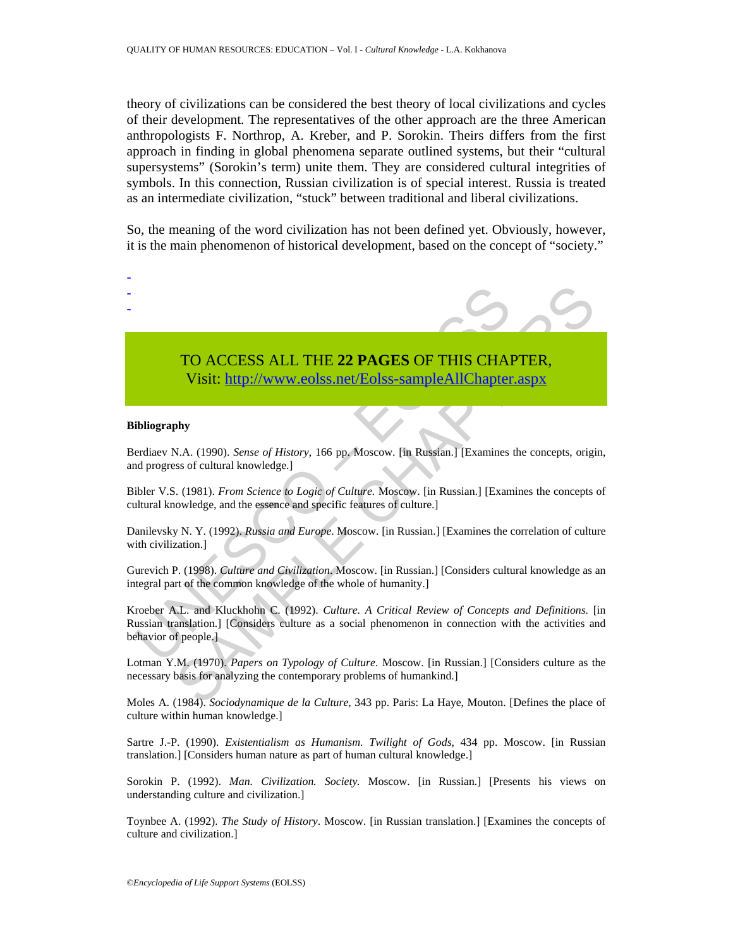theory of civilizations can be considered the best theory of local civilizations and cycles of their development. The representatives of the other approach are the three American anthropologists F. Northrop, A. Kreber, and P. Sorokin. Theirs differs from the first approach in finding in global phenomena separate outlined systems, but their "cultural supersystems" (Sorokin's term) unite them. They are considered cultural integrities of symbols. In this connection, Russian civilization is of special interest. Russia is treated as an intermediate civilization, "stuck" between traditional and liberal civilizations.

So, the meaning of the word civilization has not been defined yet. Obviously, however, it is the main phenomenon of historical development, based on the concept of "society."

# TO ACCESS ALL THE **22 PAGES** OF THIS CHAPTER, Visit: http://www.eolss.net/Eolss-sampleAllChapter.aspx

#### **Bibliography**

- - -

Berdiaev N.A. (1990). *Sense of History*, 166 pp. Moscow. [in Russian.] [Examines the concepts, origin, and progress of cultural knowledge.]

Bibler V.S. (1981). *From Science to Logic of Culture.* Moscow. [in Russian.] [Examines the concepts of cultural knowledge, and the essence and specific features of culture.]

Danilevsky N. Y. (1992). *Russia and Europe*. Moscow. [in Russian.] [Examines the correlation of culture with civilization.]

Gurevich P. (1998). *Culture and Civilization*. Moscow. [in Russian.] [Considers cultural knowledge as an integral part of the common knowledge of the whole of humanity.]

TO ACCESS ALL THE 22 PAGES OF THIS CHA<br>Visit: http://www.eolss.net/Eolss-sampleAllChapter<br>ibliography<br>indiscreption (1990). Sense of History, 166 pp. Moscow. [in Russian.] [Examines<br>id progress of cultural knowledge.]<br>ible **TO ACCESS ALL THE 22 PAGES OF THIS CHA[PTER](https://www.eolss.net/ebooklib/sc_cart.aspx?File=E1-12-02-04),**<br> **Visit:** http://www.colss.net/Eolss-sampleAllChapter.aspx<br>
phy<br>
N.A. (1990). Sense of History, 166 pp. Moscow. [in Russian.] [Examines the concepts, origis<br>
so f cultural know Kroeber A.L. and Kluckhohn C. (1992). *Culture. A Critical Review of Concepts and Definitions.* [in Russian translation.] [Considers culture as a social phenomenon in connection with the activities and behavior of people.]

Lotman Y.M. (1970). *Papers on Typology of Culture*. Moscow. [in Russian.] [Considers culture as the necessary basis for analyzing the contemporary problems of humankind.]

Moles A. (1984). *Sociodynamique de la Culture*, 343 pp. Paris: La Haye, Mouton. [Defines the place of culture within human knowledge.]

Sartre J.-P. (1990). *Existentialism as Humanism. Twilight of Gods*, 434 pp. Moscow. [in Russian translation.] [Considers human nature as part of human cultural knowledge.]

Sorokin P. (1992). *Man. Civilization. Society.* Moscow. [in Russian.] [Presents his views on understanding culture and civilization.]

Toynbee A. (1992). *The Study of History*. Moscow. [in Russian translation.] [Examines the concepts of culture and civilization.]